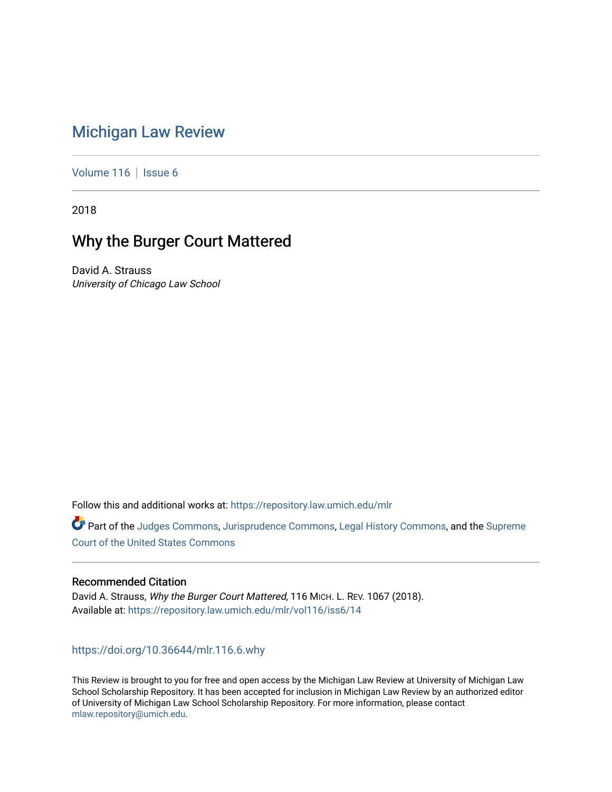# [Michigan Law Review](https://repository.law.umich.edu/mlr)

[Volume 116](https://repository.law.umich.edu/mlr/vol116) | [Issue 6](https://repository.law.umich.edu/mlr/vol116/iss6)

2018

# Why the Burger Court Mattered

David A. Strauss University of Chicago Law School

Follow this and additional works at: [https://repository.law.umich.edu/mlr](https://repository.law.umich.edu/mlr?utm_source=repository.law.umich.edu%2Fmlr%2Fvol116%2Fiss6%2F14&utm_medium=PDF&utm_campaign=PDFCoverPages) 

Part of the [Judges Commons,](http://network.bepress.com/hgg/discipline/849?utm_source=repository.law.umich.edu%2Fmlr%2Fvol116%2Fiss6%2F14&utm_medium=PDF&utm_campaign=PDFCoverPages) [Jurisprudence Commons](http://network.bepress.com/hgg/discipline/610?utm_source=repository.law.umich.edu%2Fmlr%2Fvol116%2Fiss6%2F14&utm_medium=PDF&utm_campaign=PDFCoverPages), [Legal History Commons,](http://network.bepress.com/hgg/discipline/904?utm_source=repository.law.umich.edu%2Fmlr%2Fvol116%2Fiss6%2F14&utm_medium=PDF&utm_campaign=PDFCoverPages) and the [Supreme](http://network.bepress.com/hgg/discipline/1350?utm_source=repository.law.umich.edu%2Fmlr%2Fvol116%2Fiss6%2F14&utm_medium=PDF&utm_campaign=PDFCoverPages) [Court of the United States Commons](http://network.bepress.com/hgg/discipline/1350?utm_source=repository.law.umich.edu%2Fmlr%2Fvol116%2Fiss6%2F14&utm_medium=PDF&utm_campaign=PDFCoverPages)

## Recommended Citation

David A. Strauss, Why the Burger Court Mattered, 116 MICH. L. REV. 1067 (2018). Available at: [https://repository.law.umich.edu/mlr/vol116/iss6/14](https://repository.law.umich.edu/mlr/vol116/iss6/14?utm_source=repository.law.umich.edu%2Fmlr%2Fvol116%2Fiss6%2F14&utm_medium=PDF&utm_campaign=PDFCoverPages) 

<https://doi.org/10.36644/mlr.116.6.why>

This Review is brought to you for free and open access by the Michigan Law Review at University of Michigan Law School Scholarship Repository. It has been accepted for inclusion in Michigan Law Review by an authorized editor of University of Michigan Law School Scholarship Repository. For more information, please contact [mlaw.repository@umich.edu.](mailto:mlaw.repository@umich.edu)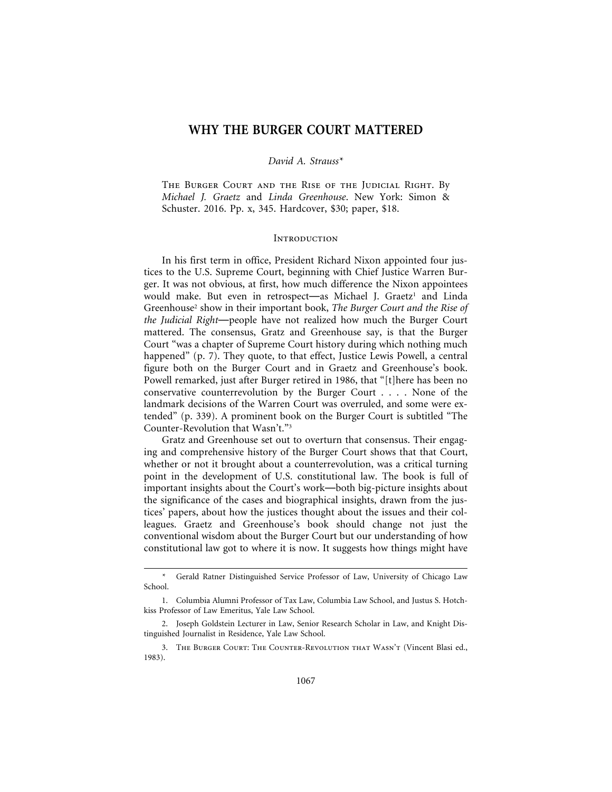## **WHY THE BURGER COURT MATTERED**

### *David A. Strauss\**

The Burger Court and the Rise of the Judicial Right. By *Michael J. Graetz* and *Linda Greenhouse*. New York: Simon & Schuster. 2016. Pp. x, 345. Hardcover, \$30; paper, \$18.

### **INTRODUCTION**

In his first term in office, President Richard Nixon appointed four justices to the U.S. Supreme Court, beginning with Chief Justice Warren Burger. It was not obvious, at first, how much difference the Nixon appointees would make. But even in retrospect-as Michael J. Graetz<sup>1</sup> and Linda Greenhouse<sup>2</sup> show in their important book, *The Burger Court and the Rise of the Judicial Right*—people have not realized how much the Burger Court mattered. The consensus, Gratz and Greenhouse say, is that the Burger Court "was a chapter of Supreme Court history during which nothing much happened" (p. 7). They quote, to that effect, Justice Lewis Powell, a central figure both on the Burger Court and in Graetz and Greenhouse's book. Powell remarked, just after Burger retired in 1986, that "[t]here has been no conservative counterrevolution by the Burger Court . . . . None of the landmark decisions of the Warren Court was overruled, and some were extended" (p. 339). A prominent book on the Burger Court is subtitled "The Counter-Revolution that Wasn't."3

Gratz and Greenhouse set out to overturn that consensus. Their engaging and comprehensive history of the Burger Court shows that that Court, whether or not it brought about a counterrevolution, was a critical turning point in the development of U.S. constitutional law. The book is full of important insights about the Court's work—both big-picture insights about the significance of the cases and biographical insights, drawn from the justices' papers, about how the justices thought about the issues and their colleagues. Graetz and Greenhouse's book should change not just the conventional wisdom about the Burger Court but our understanding of how constitutional law got to where it is now. It suggests how things might have

Gerald Ratner Distinguished Service Professor of Law, University of Chicago Law School.

<sup>1.</sup> Columbia Alumni Professor of Tax Law, Columbia Law School, and Justus S. Hotchkiss Professor of Law Emeritus, Yale Law School.

<sup>2.</sup> Joseph Goldstein Lecturer in Law, Senior Research Scholar in Law, and Knight Distinguished Journalist in Residence, Yale Law School.

<sup>3.</sup> The Burger Court: The Counter-Revolution that Wasn't (Vincent Blasi ed., 1983).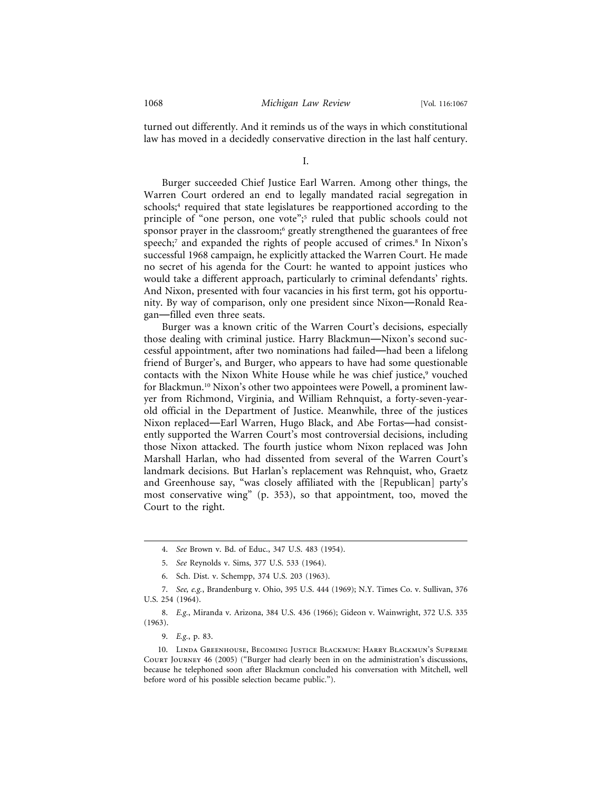turned out differently. And it reminds us of the ways in which constitutional law has moved in a decidedly conservative direction in the last half century.

I.

Burger succeeded Chief Justice Earl Warren. Among other things, the Warren Court ordered an end to legally mandated racial segregation in schools;<sup>4</sup> required that state legislatures be reapportioned according to the principle of "one person, one vote";<sup>5</sup> ruled that public schools could not sponsor prayer in the classroom;<sup>6</sup> greatly strengthened the guarantees of free speech;<sup>7</sup> and expanded the rights of people accused of crimes.<sup>8</sup> In Nixon's successful 1968 campaign, he explicitly attacked the Warren Court. He made no secret of his agenda for the Court: he wanted to appoint justices who would take a different approach, particularly to criminal defendants' rights. And Nixon, presented with four vacancies in his first term, got his opportunity. By way of comparison, only one president since Nixon—Ronald Reagan—filled even three seats.

Burger was a known critic of the Warren Court's decisions, especially those dealing with criminal justice. Harry Blackmun—Nixon's second successful appointment, after two nominations had failed—had been a lifelong friend of Burger's, and Burger, who appears to have had some questionable contacts with the Nixon White House while he was chief justice,<sup>9</sup> vouched for Blackmun.10 Nixon's other two appointees were Powell, a prominent lawyer from Richmond, Virginia, and William Rehnquist, a forty-seven-yearold official in the Department of Justice. Meanwhile, three of the justices Nixon replaced—Earl Warren, Hugo Black, and Abe Fortas—had consistently supported the Warren Court's most controversial decisions, including those Nixon attacked. The fourth justice whom Nixon replaced was John Marshall Harlan, who had dissented from several of the Warren Court's landmark decisions. But Harlan's replacement was Rehnquist, who, Graetz and Greenhouse say, "was closely affiliated with the [Republican] party's most conservative wing" (p. 353), so that appointment, too, moved the Court to the right.

<sup>4.</sup> *See* Brown v. Bd. of Educ., 347 U.S. 483 (1954).

<sup>5.</sup> *See* Reynolds v. Sims, 377 U.S. 533 (1964).

<sup>6.</sup> Sch. Dist. v. Schempp, 374 U.S. 203 (1963).

<sup>7.</sup> *See, e.g.*, Brandenburg v. Ohio, 395 U.S. 444 (1969); N.Y. Times Co. v. Sullivan, 376 U.S. 254 (1964).

<sup>8.</sup> *E.g.*, Miranda v. Arizona, 384 U.S. 436 (1966); Gideon v. Wainwright, 372 U.S. 335 (1963).

<sup>9.</sup> *E.g.*, p. 83.

<sup>10.</sup> Linda Greenhouse, Becoming Justice Blackmun: Harry Blackmun's Supreme Court Journey 46 (2005) ("Burger had clearly been in on the administration's discussions, because he telephoned soon after Blackmun concluded his conversation with Mitchell, well before word of his possible selection became public.").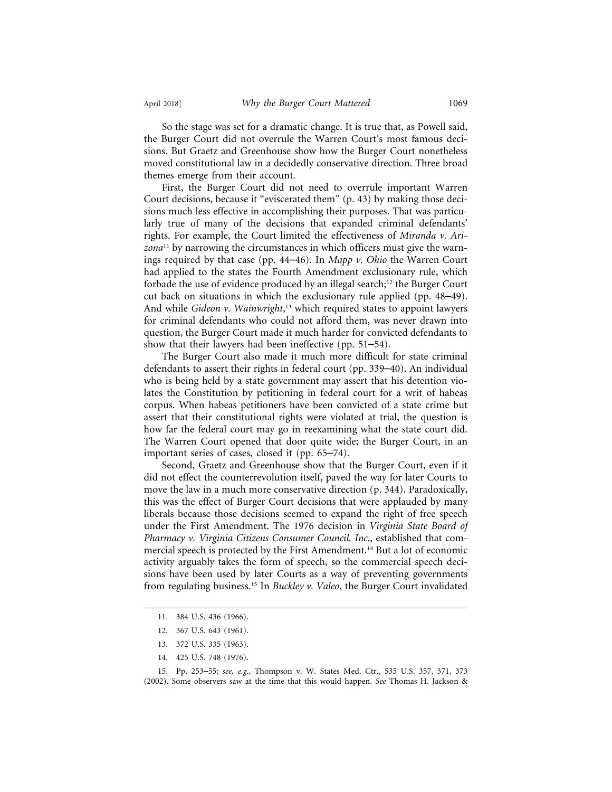So the stage was set for a dramatic change. It is true that, as Powell said, the Burger Court did not overrule the Warren Court's most famous decisions. But Graetz and Greenhouse show how the Burger Court nonetheless moved constitutional law in a decidedly conservative direction. Three broad themes emerge from their account.

First, the Burger Court did not need to overrule important Warren Court decisions, because it "eviscerated them" (p. 43) by making those decisions much less effective in accomplishing their purposes. That was particularly true of many of the decisions that expanded criminal defendants' rights. For example, the Court limited the effectiveness of *Miranda v. Arizona*11 by narrowing the circumstances in which officers must give the warnings required by that case (pp. 44–46). In *Mapp v. Ohio* the Warren Court had applied to the states the Fourth Amendment exclusionary rule, which forbade the use of evidence produced by an illegal search; $12$  the Burger Court cut back on situations in which the exclusionary rule applied (pp. 48–49). And while *Gideon v. Wainwright*, 13 which required states to appoint lawyers for criminal defendants who could not afford them, was never drawn into question, the Burger Court made it much harder for convicted defendants to show that their lawyers had been ineffective (pp. 51–54).

The Burger Court also made it much more difficult for state criminal defendants to assert their rights in federal court (pp. 339–40). An individual who is being held by a state government may assert that his detention violates the Constitution by petitioning in federal court for a writ of habeas corpus. When habeas petitioners have been convicted of a state crime but assert that their constitutional rights were violated at trial, the question is how far the federal court may go in reexamining what the state court did. The Warren Court opened that door quite wide; the Burger Court, in an important series of cases, closed it (pp. 65–74).

Second, Graetz and Greenhouse show that the Burger Court, even if it did not effect the counterrevolution itself, paved the way for later Courts to move the law in a much more conservative direction (p. 344). Paradoxically, this was the effect of Burger Court decisions that were applauded by many liberals because those decisions seemed to expand the right of free speech under the First Amendment. The 1976 decision in *Virginia State Board of Pharmacy v. Virginia Citizens Consumer Council, Inc.*, established that commercial speech is protected by the First Amendment.14 But a lot of economic activity arguably takes the form of speech, so the commercial speech decisions have been used by later Courts as a way of preventing governments from regulating business.15 In *Buckley v. Valeo*, the Burger Court invalidated

<sup>11. 384</sup> U.S. 436 (1966).

<sup>12. 367</sup> U.S. 643 (1961).

<sup>13. 372</sup> U.S. 335 (1963).

<sup>14. 425</sup> U.S. 748 (1976).

<sup>15.</sup> Pp. 253–55; *see, e.g.*, Thompson v. W. States Med. Ctr., 535 U.S. 357, 371, 373 (2002). Some observers saw at the time that this would happen. *See* Thomas H. Jackson &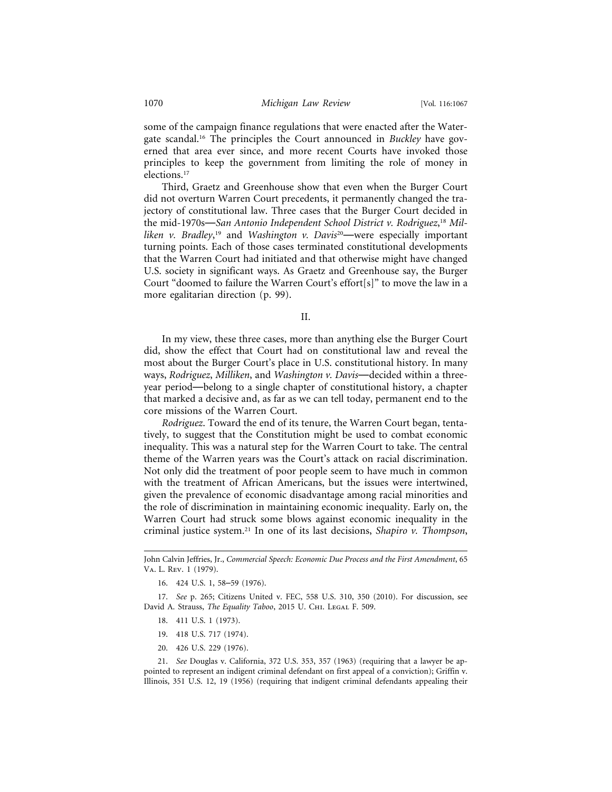some of the campaign finance regulations that were enacted after the Watergate scandal.16 The principles the Court announced in *Buckley* have governed that area ever since, and more recent Courts have invoked those principles to keep the government from limiting the role of money in elections.17

Third, Graetz and Greenhouse show that even when the Burger Court did not overturn Warren Court precedents, it permanently changed the trajectory of constitutional law. Three cases that the Burger Court decided in the mid-1970s—*San Antonio Independent School District v. Rodriguez*, <sup>18</sup> *Milliken v. Bradley*, 19 and *Washington v. Davis*<sup>20</sup>—were especially important turning points. Each of those cases terminated constitutional developments that the Warren Court had initiated and that otherwise might have changed U.S. society in significant ways. As Graetz and Greenhouse say, the Burger Court "doomed to failure the Warren Court's effort[s]" to move the law in a more egalitarian direction (p. 99).

II.

In my view, these three cases, more than anything else the Burger Court did, show the effect that Court had on constitutional law and reveal the most about the Burger Court's place in U.S. constitutional history. In many ways, *Rodriguez*, *Milliken*, and *Washington v. Davis*—decided within a threeyear period—belong to a single chapter of constitutional history, a chapter that marked a decisive and, as far as we can tell today, permanent end to the core missions of the Warren Court.

*Rodriguez*. Toward the end of its tenure, the Warren Court began, tentatively, to suggest that the Constitution might be used to combat economic inequality. This was a natural step for the Warren Court to take. The central theme of the Warren years was the Court's attack on racial discrimination. Not only did the treatment of poor people seem to have much in common with the treatment of African Americans, but the issues were intertwined, given the prevalence of economic disadvantage among racial minorities and the role of discrimination in maintaining economic inequality. Early on, the Warren Court had struck some blows against economic inequality in the criminal justice system.21 In one of its last decisions, *Shapiro v. Thompson*,

- 18. 411 U.S. 1 (1973).
- 19. 418 U.S. 717 (1974).
- 20. 426 U.S. 229 (1976).

21. *See* Douglas v. California, 372 U.S. 353, 357 (1963) (requiring that a lawyer be appointed to represent an indigent criminal defendant on first appeal of a conviction); Griffin v. Illinois, 351 U.S. 12, 19 (1956) (requiring that indigent criminal defendants appealing their

John Calvin Jeffries, Jr., *Commercial Speech: Economic Due Process and the First Amendment*, 65 Va. L. Rev. 1 (1979).

<sup>16. 424</sup> U.S. 1, 58–59 (1976).

<sup>17.</sup> *See* p. 265; Citizens United v. FEC, 558 U.S. 310, 350 (2010). For discussion, see David A. Strauss, *The Equality Taboo*, 2015 U. CHI. LEGAL F. 509.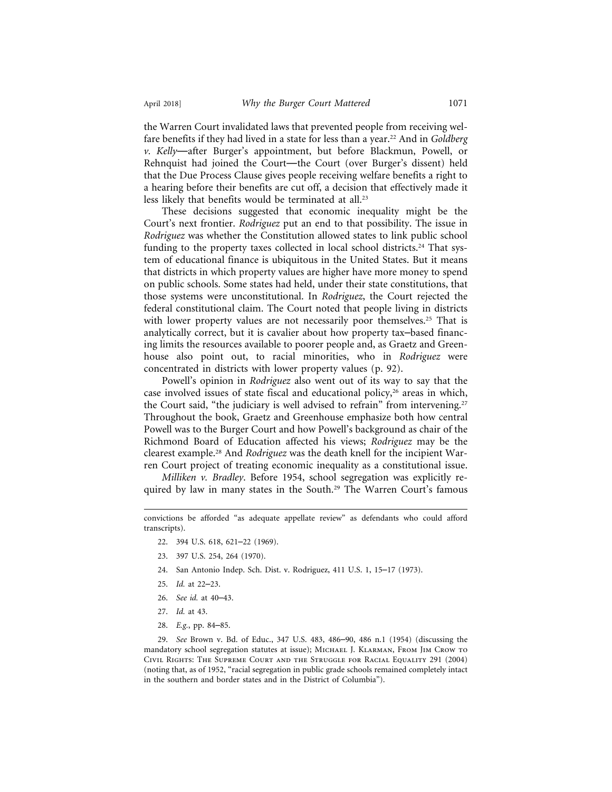the Warren Court invalidated laws that prevented people from receiving welfare benefits if they had lived in a state for less than a year.22 And in *Goldberg v. Kelly*—after Burger's appointment, but before Blackmun, Powell, or Rehnquist had joined the Court—the Court (over Burger's dissent) held that the Due Process Clause gives people receiving welfare benefits a right to a hearing before their benefits are cut off, a decision that effectively made it less likely that benefits would be terminated at all.23

These decisions suggested that economic inequality might be the Court's next frontier. *Rodriguez* put an end to that possibility. The issue in *Rodriguez* was whether the Constitution allowed states to link public school funding to the property taxes collected in local school districts.<sup>24</sup> That system of educational finance is ubiquitous in the United States. But it means that districts in which property values are higher have more money to spend on public schools. Some states had held, under their state constitutions, that those systems were unconstitutional. In *Rodriguez*, the Court rejected the federal constitutional claim. The Court noted that people living in districts with lower property values are not necessarily poor themselves.<sup>25</sup> That is analytically correct, but it is cavalier about how property tax–based financing limits the resources available to poorer people and, as Graetz and Greenhouse also point out, to racial minorities, who in *Rodriguez* were concentrated in districts with lower property values (p. 92).

Powell's opinion in *Rodriguez* also went out of its way to say that the case involved issues of state fiscal and educational policy, $26$  areas in which, the Court said, "the judiciary is well advised to refrain" from intervening.<sup>27</sup> Throughout the book, Graetz and Greenhouse emphasize both how central Powell was to the Burger Court and how Powell's background as chair of the Richmond Board of Education affected his views; *Rodriguez* may be the clearest example.28 And *Rodriguez* was the death knell for the incipient Warren Court project of treating economic inequality as a constitutional issue.

*Milliken v. Bradley*. Before 1954, school segregation was explicitly required by law in many states in the South.<sup>29</sup> The Warren Court's famous

- 22. 394 U.S. 618, 621–22 (1969).
- 23. 397 U.S. 254, 264 (1970).
- 24. San Antonio Indep. Sch. Dist. v. Rodriguez, 411 U.S. 1, 15–17 (1973).
- 25. *Id.* at 22–23.
- 26. *See id.* at 40–43.
- 27. *Id.* at 43.
- 28. *E.g.*, pp. 84–85.

29. *See* Brown v. Bd. of Educ., 347 U.S. 483, 486–90, 486 n.1 (1954) (discussing the mandatory school segregation statutes at issue); MICHAEL J. KLARMAN, FROM JIM CROW TO Civil Rights: The Supreme Court and the Struggle for Racial Equality 291 (2004) (noting that, as of 1952, "racial segregation in public grade schools remained completely intact in the southern and border states and in the District of Columbia").

convictions be afforded "as adequate appellate review" as defendants who could afford transcripts).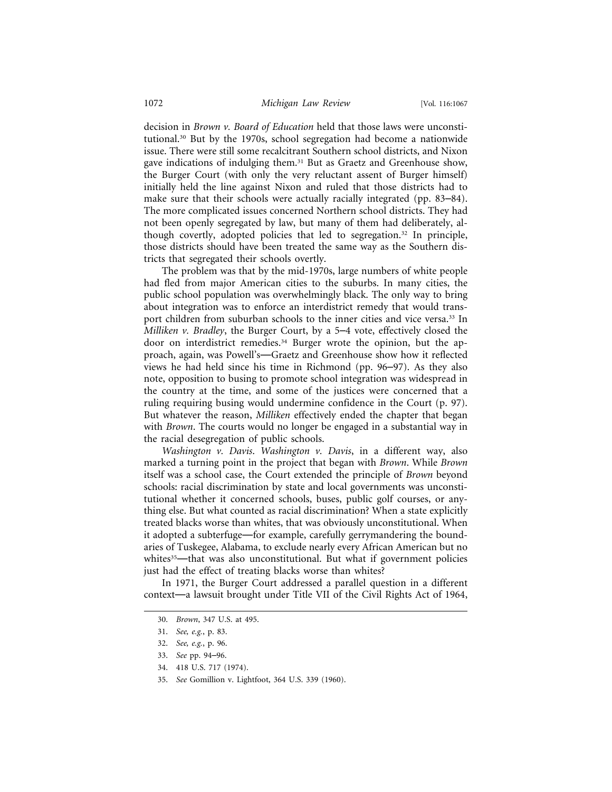decision in *Brown v. Board of Education* held that those laws were unconstitutional.30 But by the 1970s, school segregation had become a nationwide issue. There were still some recalcitrant Southern school districts, and Nixon gave indications of indulging them.31 But as Graetz and Greenhouse show, the Burger Court (with only the very reluctant assent of Burger himself) initially held the line against Nixon and ruled that those districts had to make sure that their schools were actually racially integrated (pp. 83–84). The more complicated issues concerned Northern school districts. They had not been openly segregated by law, but many of them had deliberately, although covertly, adopted policies that led to segregation.32 In principle, those districts should have been treated the same way as the Southern districts that segregated their schools overtly.

The problem was that by the mid-1970s, large numbers of white people had fled from major American cities to the suburbs. In many cities, the public school population was overwhelmingly black. The only way to bring about integration was to enforce an interdistrict remedy that would transport children from suburban schools to the inner cities and vice versa.<sup>33</sup> In *Milliken v. Bradley*, the Burger Court, by a 5–4 vote, effectively closed the door on interdistrict remedies.34 Burger wrote the opinion, but the approach, again, was Powell's—Graetz and Greenhouse show how it reflected views he had held since his time in Richmond (pp. 96–97). As they also note, opposition to busing to promote school integration was widespread in the country at the time, and some of the justices were concerned that a ruling requiring busing would undermine confidence in the Court (p. 97). But whatever the reason, *Milliken* effectively ended the chapter that began with *Brown*. The courts would no longer be engaged in a substantial way in the racial desegregation of public schools.

*Washington v. Davis*. *Washington v. Davis*, in a different way, also marked a turning point in the project that began with *Brown*. While *Brown* itself was a school case, the Court extended the principle of *Brown* beyond schools: racial discrimination by state and local governments was unconstitutional whether it concerned schools, buses, public golf courses, or anything else. But what counted as racial discrimination? When a state explicitly treated blacks worse than whites, that was obviously unconstitutional. When it adopted a subterfuge—for example, carefully gerrymandering the boundaries of Tuskegee, Alabama, to exclude nearly every African American but no whites<sup>35</sup>—that was also unconstitutional. But what if government policies just had the effect of treating blacks worse than whites?

In 1971, the Burger Court addressed a parallel question in a different context—a lawsuit brought under Title VII of the Civil Rights Act of 1964,

<sup>30.</sup> *Brown*, 347 U.S. at 495.

<sup>31.</sup> *See, e.g.*, p. 83.

<sup>32.</sup> *See, e.g.*, p. 96.

<sup>33.</sup> *See* pp. 94–96.

<sup>34. 418</sup> U.S. 717 (1974).

<sup>35.</sup> *See* Gomillion v. Lightfoot, 364 U.S. 339 (1960).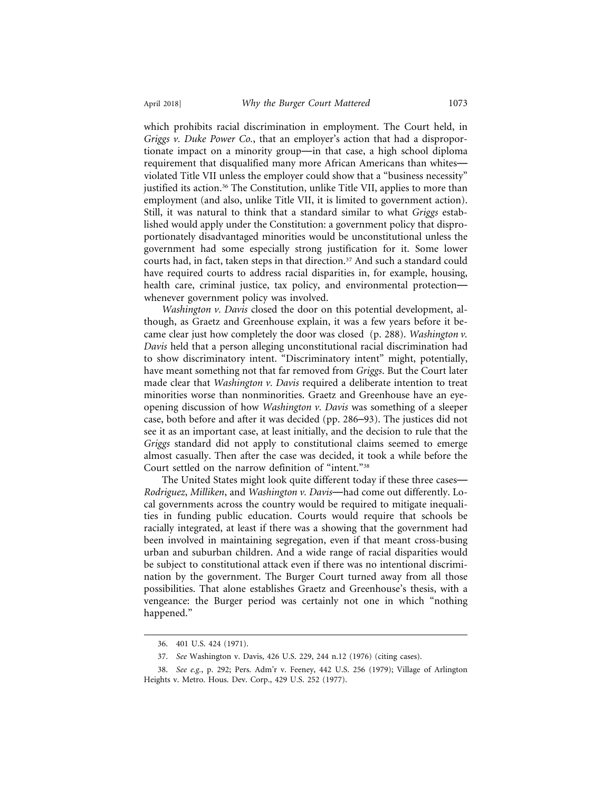which prohibits racial discrimination in employment. The Court held, in *Griggs v. Duke Power Co.*, that an employer's action that had a disproportionate impact on a minority group—in that case, a high school diploma requirement that disqualified many more African Americans than whites violated Title VII unless the employer could show that a "business necessity" justified its action.<sup>36</sup> The Constitution, unlike Title VII, applies to more than employment (and also, unlike Title VII, it is limited to government action). Still, it was natural to think that a standard similar to what *Griggs* established would apply under the Constitution: a government policy that disproportionately disadvantaged minorities would be unconstitutional unless the government had some especially strong justification for it. Some lower courts had, in fact, taken steps in that direction.<sup>37</sup> And such a standard could have required courts to address racial disparities in, for example, housing, health care, criminal justice, tax policy, and environmental protection whenever government policy was involved.

*Washington v. Davis* closed the door on this potential development, although, as Graetz and Greenhouse explain, it was a few years before it became clear just how completely the door was closed (p. 288). *Washington v. Davis* held that a person alleging unconstitutional racial discrimination had to show discriminatory intent. "Discriminatory intent" might, potentially, have meant something not that far removed from *Griggs*. But the Court later made clear that *Washington v. Davis* required a deliberate intention to treat minorities worse than nonminorities. Graetz and Greenhouse have an eyeopening discussion of how *Washington v. Davis* was something of a sleeper case, both before and after it was decided (pp. 286–93). The justices did not see it as an important case, at least initially, and the decision to rule that the *Griggs* standard did not apply to constitutional claims seemed to emerge almost casually. Then after the case was decided, it took a while before the Court settled on the narrow definition of "intent."38

The United States might look quite different today if these three cases— *Rodriguez*, *Milliken*, and *Washington v. Davis*—had come out differently. Local governments across the country would be required to mitigate inequalities in funding public education. Courts would require that schools be racially integrated, at least if there was a showing that the government had been involved in maintaining segregation, even if that meant cross-busing urban and suburban children. And a wide range of racial disparities would be subject to constitutional attack even if there was no intentional discrimination by the government. The Burger Court turned away from all those possibilities. That alone establishes Graetz and Greenhouse's thesis, with a vengeance: the Burger period was certainly not one in which "nothing happened."

<sup>36. 401</sup> U.S. 424 (1971).

<sup>37.</sup> *See* Washington v. Davis, 426 U.S. 229, 244 n.12 (1976) (citing cases).

<sup>38.</sup> *See e.g.*, p. 292; Pers. Adm'r v. Feeney, 442 U.S. 256 (1979); Village of Arlington Heights v. Metro. Hous. Dev. Corp., 429 U.S. 252 (1977).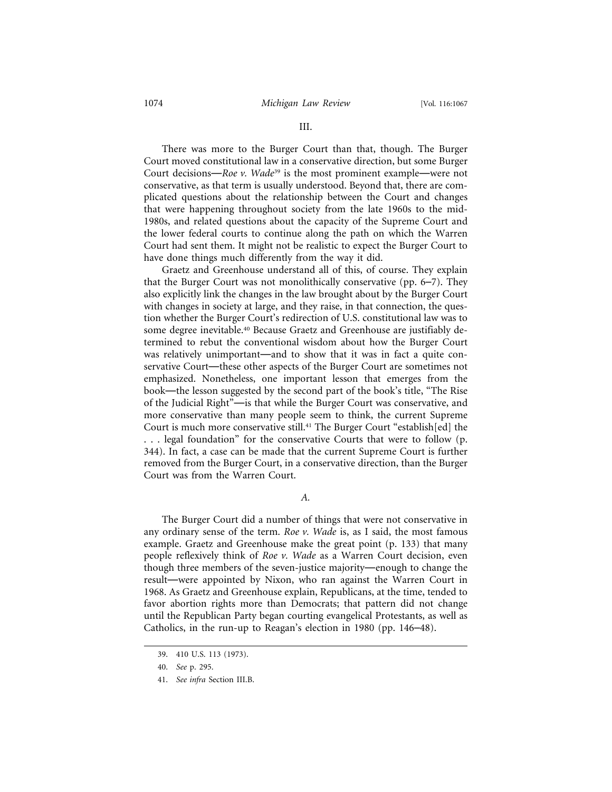There was more to the Burger Court than that, though. The Burger Court moved constitutional law in a conservative direction, but some Burger Court decisions—*Roe v. Wade*<sup>39</sup> is the most prominent example—were not conservative, as that term is usually understood. Beyond that, there are complicated questions about the relationship between the Court and changes that were happening throughout society from the late 1960s to the mid-1980s, and related questions about the capacity of the Supreme Court and the lower federal courts to continue along the path on which the Warren Court had sent them. It might not be realistic to expect the Burger Court to have done things much differently from the way it did.

Graetz and Greenhouse understand all of this, of course. They explain that the Burger Court was not monolithically conservative (pp. 6–7). They also explicitly link the changes in the law brought about by the Burger Court with changes in society at large, and they raise, in that connection, the question whether the Burger Court's redirection of U.S. constitutional law was to some degree inevitable.<sup>40</sup> Because Graetz and Greenhouse are justifiably determined to rebut the conventional wisdom about how the Burger Court was relatively unimportant—and to show that it was in fact a quite conservative Court—these other aspects of the Burger Court are sometimes not emphasized. Nonetheless, one important lesson that emerges from the book—the lesson suggested by the second part of the book's title, "The Rise of the Judicial Right"—is that while the Burger Court was conservative, and more conservative than many people seem to think, the current Supreme Court is much more conservative still.41 The Burger Court "establish[ed] the . . . legal foundation" for the conservative Courts that were to follow (p. 344). In fact, a case can be made that the current Supreme Court is further removed from the Burger Court, in a conservative direction, than the Burger Court was from the Warren Court.

*A.*

The Burger Court did a number of things that were not conservative in any ordinary sense of the term. *Roe v. Wade* is, as I said, the most famous example. Graetz and Greenhouse make the great point (p. 133) that many people reflexively think of *Roe v. Wade* as a Warren Court decision, even though three members of the seven-justice majority—enough to change the result—were appointed by Nixon, who ran against the Warren Court in 1968. As Graetz and Greenhouse explain, Republicans, at the time, tended to favor abortion rights more than Democrats; that pattern did not change until the Republican Party began courting evangelical Protestants, as well as Catholics, in the run-up to Reagan's election in 1980 (pp. 146–48).

<sup>39. 410</sup> U.S. 113 (1973).

<sup>40.</sup> *See* p. 295.

<sup>41.</sup> *See infra* Section III.B.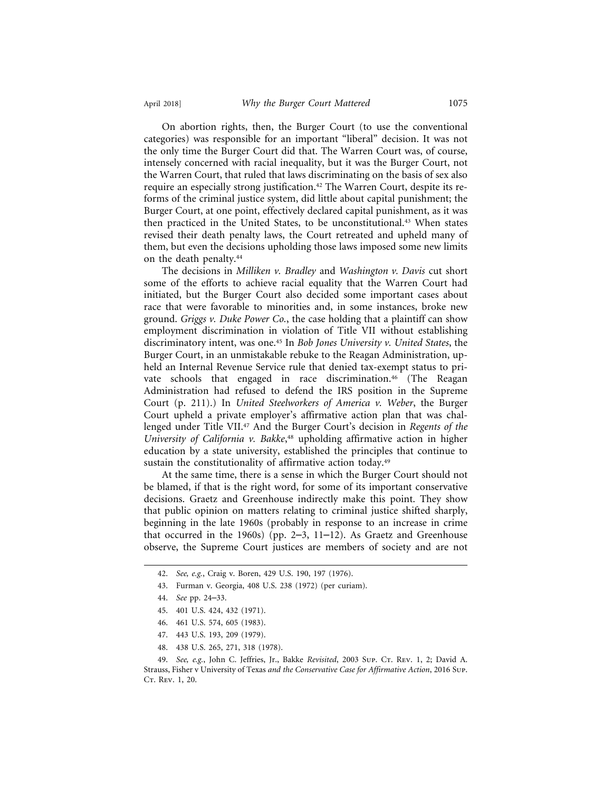On abortion rights, then, the Burger Court (to use the conventional categories) was responsible for an important "liberal" decision. It was not the only time the Burger Court did that. The Warren Court was, of course, intensely concerned with racial inequality, but it was the Burger Court, not the Warren Court, that ruled that laws discriminating on the basis of sex also require an especially strong justification.<sup>42</sup> The Warren Court, despite its reforms of the criminal justice system, did little about capital punishment; the Burger Court, at one point, effectively declared capital punishment, as it was then practiced in the United States, to be unconstitutional.43 When states revised their death penalty laws, the Court retreated and upheld many of them, but even the decisions upholding those laws imposed some new limits on the death penalty.44

The decisions in *Milliken v. Bradley* and *Washington v. Davis* cut short some of the efforts to achieve racial equality that the Warren Court had initiated, but the Burger Court also decided some important cases about race that were favorable to minorities and, in some instances, broke new ground. *Griggs v. Duke Power Co.*, the case holding that a plaintiff can show employment discrimination in violation of Title VII without establishing discriminatory intent, was one.45 In *Bob Jones University v. United States*, the Burger Court, in an unmistakable rebuke to the Reagan Administration, upheld an Internal Revenue Service rule that denied tax-exempt status to private schools that engaged in race discrimination.<sup>46</sup> (The Reagan Administration had refused to defend the IRS position in the Supreme Court (p. 211).) In *United Steelworkers of America v. Weber*, the Burger Court upheld a private employer's affirmative action plan that was challenged under Title VII.47 And the Burger Court's decision in *Regents of the University of California v. Bakke*, 48 upholding affirmative action in higher education by a state university, established the principles that continue to sustain the constitutionality of affirmative action today.<sup>49</sup>

At the same time, there is a sense in which the Burger Court should not be blamed, if that is the right word, for some of its important conservative decisions. Graetz and Greenhouse indirectly make this point. They show that public opinion on matters relating to criminal justice shifted sharply, beginning in the late 1960s (probably in response to an increase in crime that occurred in the 1960s) (pp.  $2-3$ ,  $11-12$ ). As Graetz and Greenhouse observe, the Supreme Court justices are members of society and are not

- 43. Furman v. Georgia, 408 U.S. 238 (1972) (per curiam).
- 44. *See* pp. 24–33.
- 45. 401 U.S. 424, 432 (1971).
- 46. 461 U.S. 574, 605 (1983).
- 47. 443 U.S. 193, 209 (1979).
- 48. 438 U.S. 265, 271, 318 (1978).

49. See, e.g., John C. Jeffries, Jr., Bakke Revisited, 2003 Sup. Cr. Rev. 1, 2; David A. Strauss, Fisher v University of Texas *and the Conservative Case for Affirmative Action*, 2016 Sup. Ct. Rev. 1, 20.

<sup>42.</sup> *See, e.g.*, Craig v. Boren, 429 U.S. 190, 197 (1976).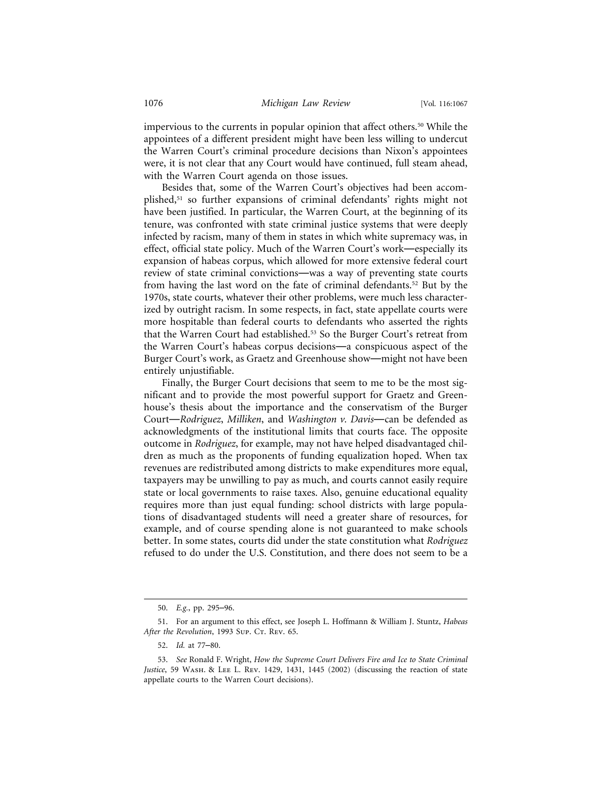impervious to the currents in popular opinion that affect others.50 While the appointees of a different president might have been less willing to undercut the Warren Court's criminal procedure decisions than Nixon's appointees were, it is not clear that any Court would have continued, full steam ahead, with the Warren Court agenda on those issues.

Besides that, some of the Warren Court's objectives had been accomplished,51 so further expansions of criminal defendants' rights might not have been justified. In particular, the Warren Court, at the beginning of its tenure, was confronted with state criminal justice systems that were deeply infected by racism, many of them in states in which white supremacy was, in effect, official state policy. Much of the Warren Court's work—especially its expansion of habeas corpus, which allowed for more extensive federal court review of state criminal convictions—was a way of preventing state courts from having the last word on the fate of criminal defendants.<sup>52</sup> But by the 1970s, state courts, whatever their other problems, were much less characterized by outright racism. In some respects, in fact, state appellate courts were more hospitable than federal courts to defendants who asserted the rights that the Warren Court had established.<sup>53</sup> So the Burger Court's retreat from the Warren Court's habeas corpus decisions—a conspicuous aspect of the Burger Court's work, as Graetz and Greenhouse show—might not have been entirely unjustifiable.

Finally, the Burger Court decisions that seem to me to be the most significant and to provide the most powerful support for Graetz and Greenhouse's thesis about the importance and the conservatism of the Burger Court—*Rodriguez*, *Milliken*, and *Washington v. Davis*—can be defended as acknowledgments of the institutional limits that courts face. The opposite outcome in *Rodriguez*, for example, may not have helped disadvantaged children as much as the proponents of funding equalization hoped. When tax revenues are redistributed among districts to make expenditures more equal, taxpayers may be unwilling to pay as much, and courts cannot easily require state or local governments to raise taxes. Also, genuine educational equality requires more than just equal funding: school districts with large populations of disadvantaged students will need a greater share of resources, for example, and of course spending alone is not guaranteed to make schools better. In some states, courts did under the state constitution what *Rodriguez* refused to do under the U.S. Constitution, and there does not seem to be a

<sup>50.</sup> *E.g.*, pp. 295–96.

<sup>51.</sup> For an argument to this effect, see Joseph L. Hoffmann & William J. Stuntz, *Habeas* After the Revolution, 1993 Sup. Cr. Rev. 65.

<sup>52.</sup> *Id.* at 77–80.

<sup>53.</sup> *See* Ronald F. Wright, *How the Supreme Court Delivers Fire and Ice to State Criminal Justice*, 59 Wash. & Lee L. Rev. 1429, 1431, 1445 (2002) (discussing the reaction of state appellate courts to the Warren Court decisions).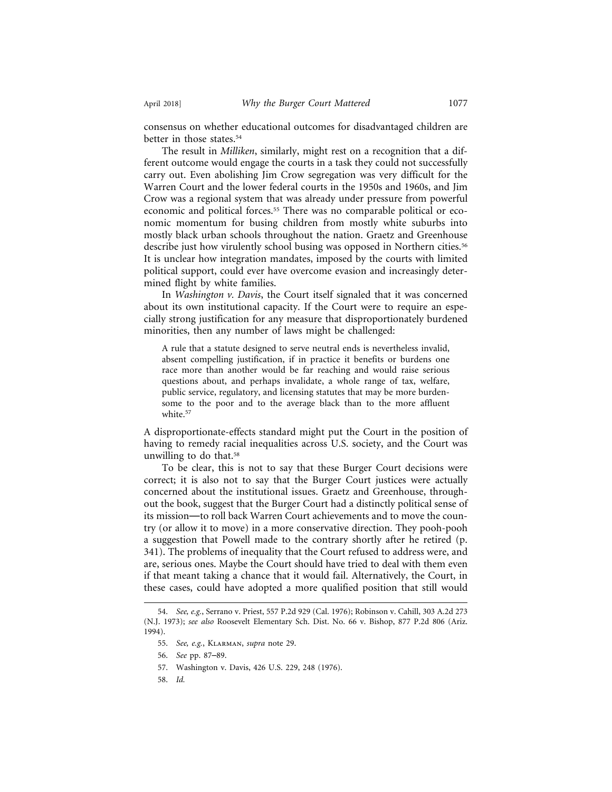consensus on whether educational outcomes for disadvantaged children are better in those states.<sup>54</sup>

The result in *Milliken*, similarly, might rest on a recognition that a different outcome would engage the courts in a task they could not successfully carry out. Even abolishing Jim Crow segregation was very difficult for the Warren Court and the lower federal courts in the 1950s and 1960s, and Jim Crow was a regional system that was already under pressure from powerful economic and political forces.<sup>55</sup> There was no comparable political or economic momentum for busing children from mostly white suburbs into mostly black urban schools throughout the nation. Graetz and Greenhouse describe just how virulently school busing was opposed in Northern cities.<sup>56</sup> It is unclear how integration mandates, imposed by the courts with limited political support, could ever have overcome evasion and increasingly determined flight by white families.

In *Washington v. Davis*, the Court itself signaled that it was concerned about its own institutional capacity. If the Court were to require an especially strong justification for any measure that disproportionately burdened minorities, then any number of laws might be challenged:

A rule that a statute designed to serve neutral ends is nevertheless invalid, absent compelling justification, if in practice it benefits or burdens one race more than another would be far reaching and would raise serious questions about, and perhaps invalidate, a whole range of tax, welfare, public service, regulatory, and licensing statutes that may be more burdensome to the poor and to the average black than to the more affluent white.<sup>57</sup>

A disproportionate-effects standard might put the Court in the position of having to remedy racial inequalities across U.S. society, and the Court was unwilling to do that.<sup>58</sup>

To be clear, this is not to say that these Burger Court decisions were correct; it is also not to say that the Burger Court justices were actually concerned about the institutional issues. Graetz and Greenhouse, throughout the book, suggest that the Burger Court had a distinctly political sense of its mission—to roll back Warren Court achievements and to move the country (or allow it to move) in a more conservative direction. They pooh-pooh a suggestion that Powell made to the contrary shortly after he retired (p. 341). The problems of inequality that the Court refused to address were, and are, serious ones. Maybe the Court should have tried to deal with them even if that meant taking a chance that it would fail. Alternatively, the Court, in these cases, could have adopted a more qualified position that still would

- 57. Washington v. Davis, 426 U.S. 229, 248 (1976).
- 58. *Id.*

<sup>54.</sup> *See, e.g.*, Serrano v. Priest, 557 P.2d 929 (Cal. 1976); Robinson v. Cahill, 303 A.2d 273 (N.J. 1973); *see also* Roosevelt Elementary Sch. Dist. No. 66 v. Bishop, 877 P.2d 806 (Ariz. 1994).

<sup>55.</sup> *See, e.g.*, Klarman, *supra* note 29.

<sup>56.</sup> *See* pp. 87–89.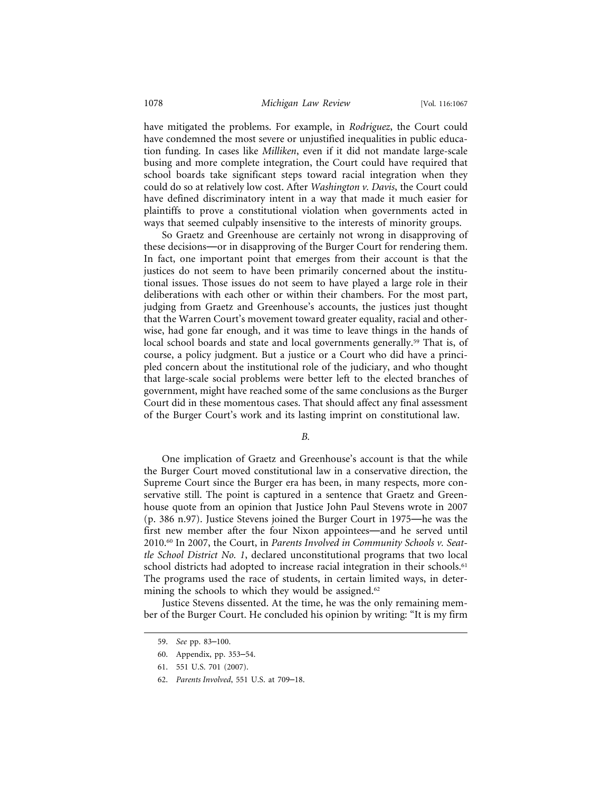have mitigated the problems. For example, in *Rodriguez*, the Court could have condemned the most severe or unjustified inequalities in public education funding. In cases like *Milliken*, even if it did not mandate large-scale busing and more complete integration, the Court could have required that school boards take significant steps toward racial integration when they could do so at relatively low cost. After *Washington v. Davis*, the Court could have defined discriminatory intent in a way that made it much easier for plaintiffs to prove a constitutional violation when governments acted in ways that seemed culpably insensitive to the interests of minority groups.

So Graetz and Greenhouse are certainly not wrong in disapproving of these decisions—or in disapproving of the Burger Court for rendering them. In fact, one important point that emerges from their account is that the justices do not seem to have been primarily concerned about the institutional issues. Those issues do not seem to have played a large role in their deliberations with each other or within their chambers. For the most part, judging from Graetz and Greenhouse's accounts, the justices just thought that the Warren Court's movement toward greater equality, racial and otherwise, had gone far enough, and it was time to leave things in the hands of local school boards and state and local governments generally.<sup>59</sup> That is, of course, a policy judgment. But a justice or a Court who did have a principled concern about the institutional role of the judiciary, and who thought that large-scale social problems were better left to the elected branches of government, might have reached some of the same conclusions as the Burger Court did in these momentous cases. That should affect any final assessment of the Burger Court's work and its lasting imprint on constitutional law.

*B.*

One implication of Graetz and Greenhouse's account is that the while the Burger Court moved constitutional law in a conservative direction, the Supreme Court since the Burger era has been, in many respects, more conservative still. The point is captured in a sentence that Graetz and Greenhouse quote from an opinion that Justice John Paul Stevens wrote in 2007 (p. 386 n.97). Justice Stevens joined the Burger Court in 1975—he was the first new member after the four Nixon appointees—and he served until 2010.60 In 2007, the Court, in *Parents Involved in Community Schools v. Seattle School District No. 1*, declared unconstitutional programs that two local school districts had adopted to increase racial integration in their schools.<sup>61</sup> The programs used the race of students, in certain limited ways, in determining the schools to which they would be assigned. $62$ 

Justice Stevens dissented. At the time, he was the only remaining member of the Burger Court. He concluded his opinion by writing: "It is my firm

<sup>59.</sup> *See* pp. 83–100.

<sup>60.</sup> Appendix, pp. 353–54.

<sup>61. 551</sup> U.S. 701 (2007).

<sup>62.</sup> *Parents Involved*, 551 U.S. at 709–18.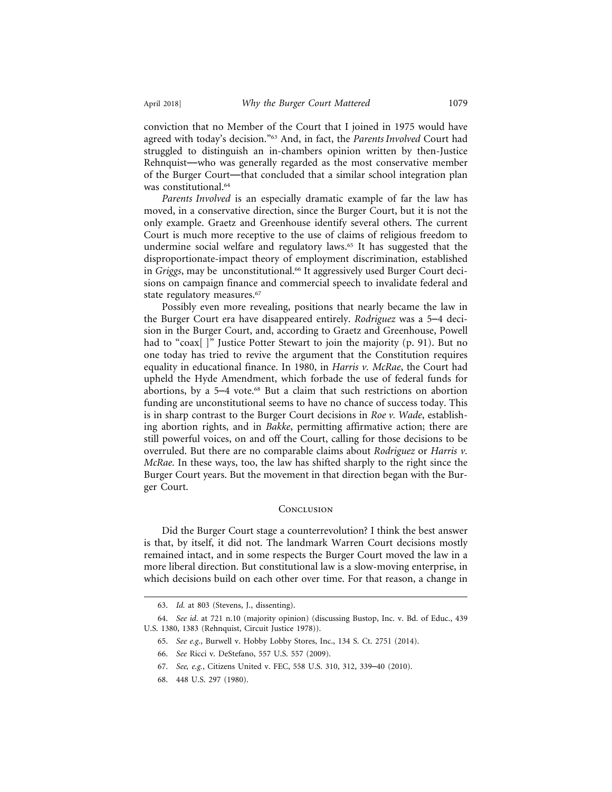conviction that no Member of the Court that I joined in 1975 would have agreed with today's decision."63 And, in fact, the *Parents Involved* Court had struggled to distinguish an in-chambers opinion written by then-Justice Rehnquist—who was generally regarded as the most conservative member of the Burger Court—that concluded that a similar school integration plan was constitutional.64

*Parents Involved* is an especially dramatic example of far the law has moved, in a conservative direction, since the Burger Court, but it is not the only example. Graetz and Greenhouse identify several others. The current Court is much more receptive to the use of claims of religious freedom to undermine social welfare and regulatory laws.<sup>65</sup> It has suggested that the disproportionate-impact theory of employment discrimination, established in *Griggs*, may be unconstitutional.<sup>66</sup> It aggressively used Burger Court decisions on campaign finance and commercial speech to invalidate federal and state regulatory measures.<sup>67</sup>

Possibly even more revealing, positions that nearly became the law in the Burger Court era have disappeared entirely. *Rodriguez* was a 5–4 decision in the Burger Court, and, according to Graetz and Greenhouse, Powell had to "coax[]" Justice Potter Stewart to join the majority (p. 91). But no one today has tried to revive the argument that the Constitution requires equality in educational finance. In 1980, in *Harris v. McRae*, the Court had upheld the Hyde Amendment, which forbade the use of federal funds for abortions, by a 5-4 vote.<sup>68</sup> But a claim that such restrictions on abortion funding are unconstitutional seems to have no chance of success today. This is in sharp contrast to the Burger Court decisions in *Roe v. Wade*, establishing abortion rights, and in *Bakke*, permitting affirmative action; there are still powerful voices, on and off the Court, calling for those decisions to be overruled. But there are no comparable claims about *Rodriguez* or *Harris v. McRae*. In these ways, too, the law has shifted sharply to the right since the Burger Court years. But the movement in that direction began with the Burger Court.

#### **CONCLUSION**

Did the Burger Court stage a counterrevolution? I think the best answer is that, by itself, it did not. The landmark Warren Court decisions mostly remained intact, and in some respects the Burger Court moved the law in a more liberal direction. But constitutional law is a slow-moving enterprise, in which decisions build on each other over time. For that reason, a change in

- 65. *See e.g.*, Burwell v. Hobby Lobby Stores, Inc., 134 S. Ct. 2751 (2014).
- 66. *See* Ricci v. DeStefano, 557 U.S. 557 (2009).
- 67. *See, e.g.*, Citizens United v. FEC, 558 U.S. 310, 312, 339–40 (2010).
- 68. 448 U.S. 297 (1980).

<sup>63.</sup> *Id.* at 803 (Stevens, J., dissenting).

<sup>64.</sup> *See id*. at 721 n.10 (majority opinion) (discussing Bustop, Inc. v. Bd. of Educ., 439 U.S. 1380, 1383 (Rehnquist, Circuit Justice 1978)).